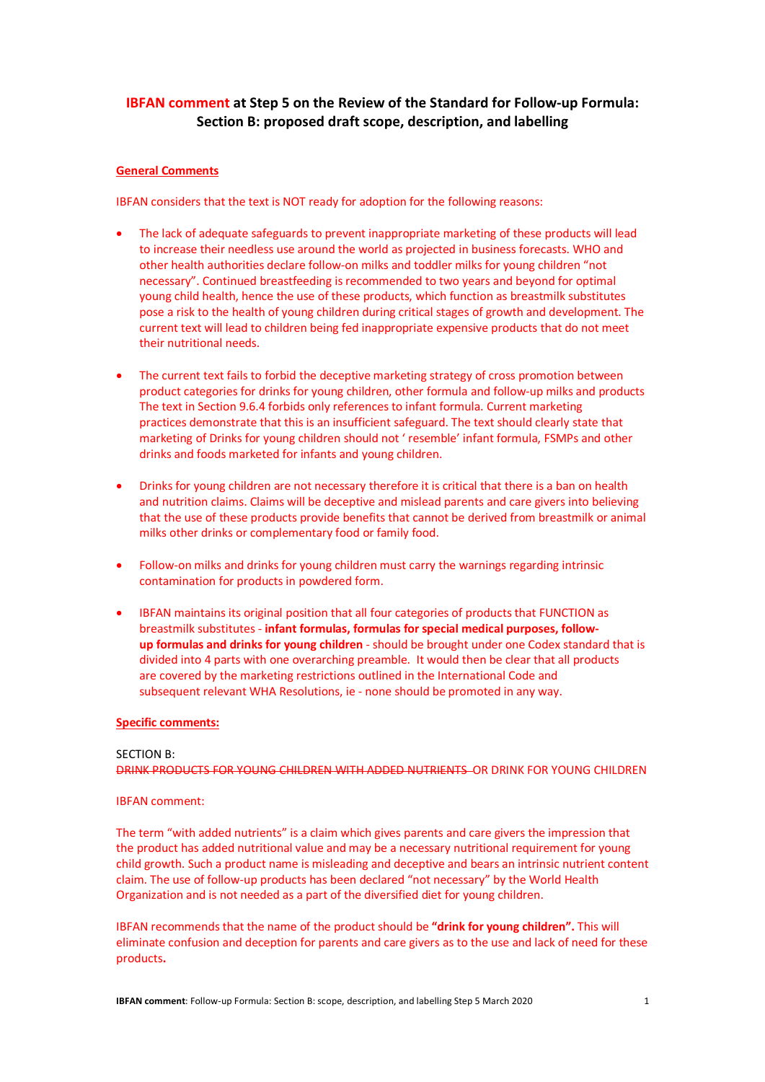# **IBFAN comment at Step 5 on the Review of the Standard for Follow-up Formula: Section B: proposed draft scope, description, and labelling**

# **General Comments**

IBFAN considers that the text is NOT ready for adoption for the following reasons:

- The lack of adequate safeguards to prevent inappropriate marketing of these products will lead to increase their needless use around the world as projected in business forecasts. WHO and other health authorities declare follow-on milks and toddler milks for young children "not necessary". Continued breastfeeding is recommended to two years and beyond for optimal young child health, hence the use of these products, which function as breastmilk substitutes pose a risk to the health of young children during critical stages of growth and development. The current text will lead to children being fed inappropriate expensive products that do not meet their nutritional needs.
- The current text fails to forbid the deceptive marketing strategy of cross promotion between product categories for drinks for young children, other formula and follow-up milks and products The text in Section 9.6.4 forbids only references to infant formula. Current marketing practices demonstrate that this is an insufficient safeguard. The text should clearly state that marketing of Drinks for young children should not ' resemble' infant formula, FSMPs and other drinks and foods marketed for infants and young children.
- Drinks for young children are not necessary therefore it is critical that there is a ban on health and nutrition claims. Claims will be deceptive and mislead parents and care givers into believing that the use of these products provide benefits that cannot be derived from breastmilk or animal milks other drinks or complementary food or family food.
- Follow-on milks and drinks for young children must carry the warnings regarding intrinsic contamination for products in powdered form.
- IBFAN maintains its original position that all four categories of products that FUNCTION as breastmilk substitutes - **infant formulas, formulas for special medical purposes, followup formulas and drinks for young children** - should be brought under one Codex standard that is divided into 4 parts with one overarching preamble. It would then be clear that all products are covered by the marketing restrictions outlined in the International Code and subsequent relevant WHA Resolutions, ie - none should be promoted in any way.

# **Specific comments:**

#### SECTION B:

DRINK PRODUCTS FOR YOUNG CHILDREN WITH ADDED NUTRIENTS OR DRINK FOR YOUNG CHILDREN

#### IBFAN comment:

The term "with added nutrients" is a claim which gives parents and care givers the impression that the product has added nutritional value and may be a necessary nutritional requirement for young child growth. Such a product name is misleading and deceptive and bears an intrinsic nutrient content claim. The use of follow-up products has been declared "not necessary" by the World Health Organization and is not needed as a part of the diversified diet for young children.

IBFAN recommends that the name of the product should be **"drink for young children".** This will eliminate confusion and deception for parents and care givers as to the use and lack of need for these products**.**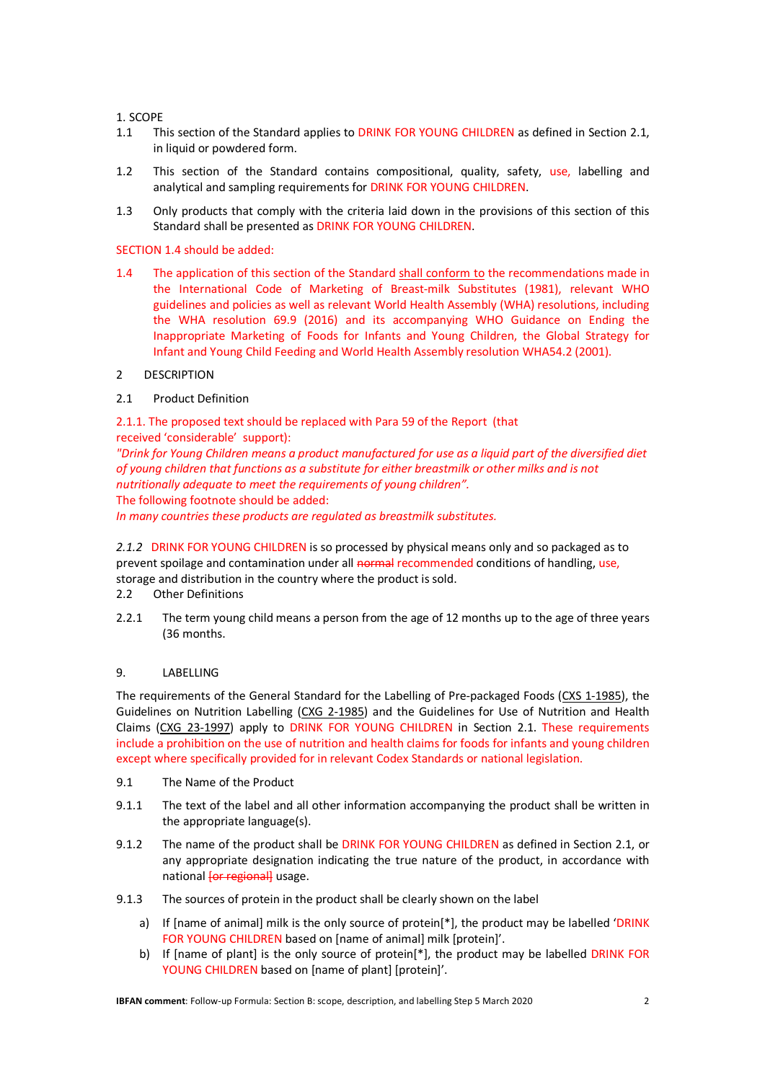1. SCOPE

- 1.1 This section of the Standard applies to DRINK FOR YOUNG CHILDREN as defined in Section 2.1, in liquid or powdered form.
- 1.2 This section of the Standard contains compositional, quality, safety, use, labelling and analytical and sampling requirements for DRINK FOR YOUNG CHILDREN.
- 1.3 Only products that comply with the criteria laid down in the provisions of this section of this Standard shall be presented as DRINK FOR YOUNG CHILDREN.

# SECTION 1.4 should be added:

1.4 The application of this section of the Standard shall conform to the recommendations made in the International Code of Marketing of Breast-milk Substitutes (1981), relevant WHO guidelines and policies as well as relevant World Health Assembly (WHA) resolutions, including the WHA resolution 69.9 (2016) and its accompanying WHO Guidance on Ending the Inappropriate Marketing of Foods for Infants and Young Children, the Global Strategy for Infant and Young Child Feeding and World Health Assembly resolution WHA54.2 (2001).

# 2 DESCRIPTION

# 2.1 Product Definition

2.1.1. The proposed text should be replaced with Para 59 of the Report (that received 'considerable' support):

*"Drink for Young Children means a product manufactured for use as a liquid part of the diversified diet of young children that functions as a substitute for either breastmilk or other milks and is not nutritionally adequate to meet the requirements of young children".*

The following footnote should be added:

*In many countries these products are regulated as breastmilk substitutes.*

*2.1.2* DRINK FOR YOUNG CHILDREN is so processed by physical means only and so packaged as to prevent spoilage and contamination under all normal recommended conditions of handling, use, storage and distribution in the country where the product is sold.

# 2.2 Other Definitions

2.2.1 The term young child means a person from the age of 12 months up to the age of three years (36 months.

# 9. LABELLING

The requirements of the General Standard for the Labelling of Pre-packaged Foods (CXS 1-1985), the Guidelines on Nutrition Labelling (CXG 2-1985) and the Guidelines for Use of Nutrition and Health Claims (CXG 23-1997) apply to DRINK FOR YOUNG CHILDREN in Section 2.1. These requirements include a prohibition on the use of nutrition and health claims for foods for infants and young children except where specifically provided for in relevant Codex Standards or national legislation.

- 9.1 The Name of the Product
- 9.1.1 The text of the label and all other information accompanying the product shall be written in the appropriate language(s).
- 9.1.2 The name of the product shall be DRINK FOR YOUNG CHILDREN as defined in Section 2.1, or any appropriate designation indicating the true nature of the product, in accordance with national *[or regional]* usage.
- 9.1.3 The sources of protein in the product shall be clearly shown on the label
	- a) If [name of animal] milk is the only source of protein<sup>[\*]</sup>, the product may be labelled 'DRINK FOR YOUNG CHILDREN based on [name of animal] milk [protein]'.
	- b) If [name of plant] is the only source of protein[\*], the product may be labelled DRINK FOR YOUNG CHILDREN based on [name of plant] [protein]'.

**IBFAN comment**: Follow-up Formula: Section B: scope, description, and labelling Step 5 March 2020 2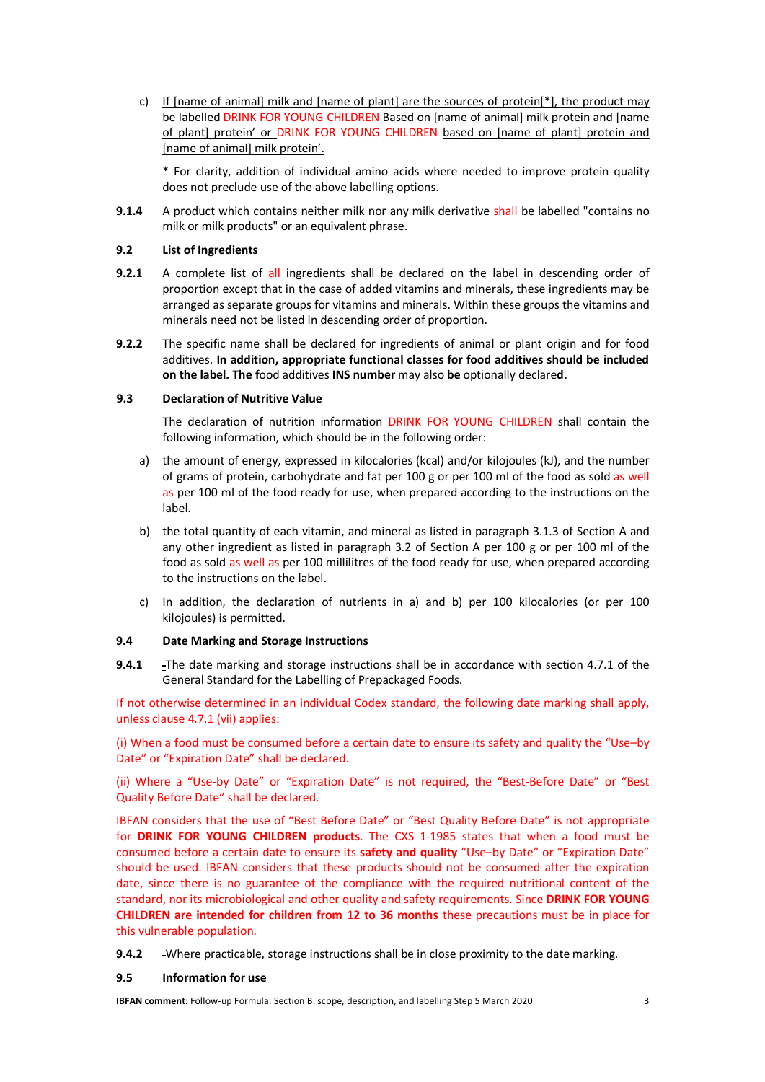c) If [name of animal] milk and [name of plant] are the sources of protein[ $*$ ], the product may be labelled DRINK FOR YOUNG CHILDREN Based on [name of animal] milk protein and [name of plant] protein' or DRINK FOR YOUNG CHILDREN based on [name of plant] protein and [name of animal] milk protein'.

\* For clarity, addition of individual amino acids where needed to improve protein quality does not preclude use of the above labelling options.

**9.1.4** A product which contains neither milk nor any milk derivative shall be labelled "contains no milk or milk products" or an equivalent phrase.

# **9.2 List of Ingredients**

- **9.2.1** A complete list of all ingredients shall be declared on the label in descending order of proportion except that in the case of added vitamins and minerals, these ingredients may be arranged as separate groups for vitamins and minerals. Within these groups the vitamins and minerals need not be listed in descending order of proportion.
- **9.2.2** The specific name shall be declared for ingredients of animal or plant origin and for food additives. **In addition, appropriate functional classes for food additives should be included on the label. The f**ood additives **INS number** may also **be** optionally declare**d.**

# **9.3 Declaration of Nutritive Value**

The declaration of nutrition information DRINK FOR YOUNG CHILDREN shall contain the following information, which should be in the following order:

- a) the amount of energy, expressed in kilocalories (kcal) and/or kilojoules (kJ), and the number of grams of protein, carbohydrate and fat per 100 g or per 100 ml of the food as sold as well as per 100 ml of the food ready for use, when prepared according to the instructions on the label.
- b) the total quantity of each vitamin, and mineral as listed in paragraph 3.1.3 of Section A and any other ingredient as listed in paragraph 3.2 of Section A per 100 g or per 100 ml of the food as sold as well as per 100 millilitres of the food ready for use, when prepared according to the instructions on the label.
- c) In addition, the declaration of nutrients in a) and b) per 100 kilocalories (or per 100 kilojoules) is permitted.

# **9.4 Date Marking and Storage Instructions**

**9.4.1** The date marking and storage instructions shall be in accordance with section 4.7.1 of the General Standard for the Labelling of Prepackaged Foods.

If not otherwise determined in an individual Codex standard, the following date marking shall apply, unless clause 4.7.1 (vii) applies:

(i) When a food must be consumed before a certain date to ensure its safety and quality the "Use–by Date" or "Expiration Date" shall be declared.

(ii) Where a "Use-by Date" or "Expiration Date" is not required, the "Best-Before Date" or "Best Quality Before Date" shall be declared.

IBFAN considers that the use of "Best Before Date" or "Best Quality Before Date" is not appropriate for **DRINK FOR YOUNG CHILDREN products**. The CXS 1-1985 states that when a food must be consumed before a certain date to ensure its **safety and quality** "Use–by Date" or "Expiration Date" should be used. IBFAN considers that these products should not be consumed after the expiration date, since there is no guarantee of the compliance with the required nutritional content of the standard, nor its microbiological and other quality and safety requirements. Since **DRINK FOR YOUNG CHILDREN are intended for children from 12 to 36 months** these precautions must be in place for this vulnerable population.

**9.4.2** Where practicable, storage instructions shall be in close proximity to the date marking.

# **9.5 Information for use**

**IBFAN comment**: Follow-up Formula: Section B: scope, description, and labelling Step 5 March 2020 3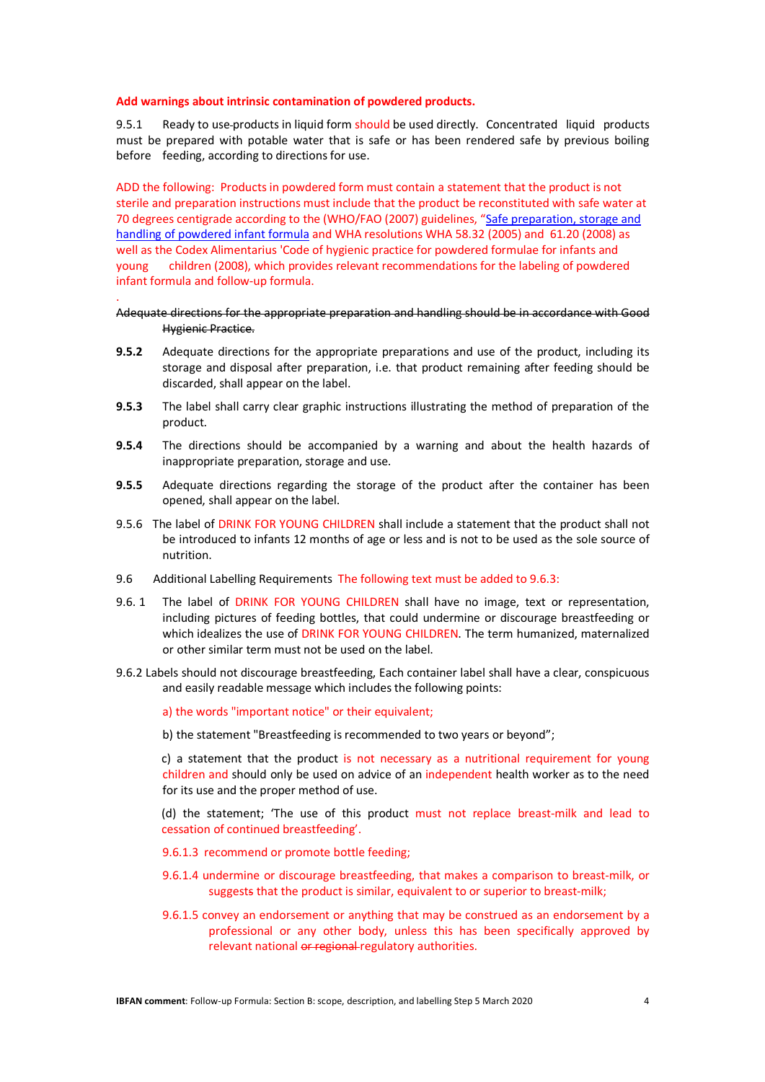#### **Add warnings about intrinsic contamination of powdered products.**

.

9.5.1 Ready to use-products in liquid form should be used directly. Concentrated liquid products must be prepared with potable water that is safe or has been rendered safe by previous boiling before feeding, according to directions for use.

ADD the following: Products in powdered form must contain a statement that the product is not sterile and preparation instructions must include that the product be reconstituted with safe water at 70 degrees centigrade according to the (WHO/FAO (2007) guidelines, "Safe preparation, storage and handling of powdered infant formula and WHA resolutions WHA 58.32 (2005) and 61.20 (2008) as well as the Codex Alimentarius 'Code of hygienic practice for powdered formulae for infants and young children (2008), which provides relevant recommendations for the labeling of powdered infant formula and follow-up formula.

#### Adequate directions for the appropriate preparation and handling should be in accordance with Good Hygienic Practice.

- **9.5.2** Adequate directions for the appropriate preparations and use of the product, including its storage and disposal after preparation, i.e. that product remaining after feeding should be discarded, shall appear on the label.
- **9.5.3** The label shall carry clear graphic instructions illustrating the method of preparation of the product.
- **9.5.4** The directions should be accompanied by a warning and about the health hazards of inappropriate preparation, storage and use.
- **9.5.5** Adequate directions regarding the storage of the product after the container has been opened, shall appear on the label.
- 9.5.6 The label of DRINK FOR YOUNG CHILDREN shall include a statement that the product shall not be introduced to infants 12 months of age or less and is not to be used as the sole source of nutrition.
- 9.6 Additional Labelling Requirements The following text must be added to 9.6.3:
- 9.6. 1 The label of DRINK FOR YOUNG CHILDREN shall have no image, text or representation, including pictures of feeding bottles, that could undermine or discourage breastfeeding or which idealizes the use of DRINK FOR YOUNG CHILDREN. The term humanized, maternalized or other similar term must not be used on the label.
- 9.6.2 Labels should not discourage breastfeeding, Each container label shall have a clear, conspicuous and easily readable message which includes the following points:

#### a) the words "important notice" or their equivalent;

b) the statement "Breastfeeding is recommended to two years or beyond";

c) a statement that the product is not necessary as a nutritional requirement for young children and should only be used on advice of an independent health worker as to the need for its use and the proper method of use.

(d) the statement; 'The use of this product must not replace breast-milk and lead to cessation of continued breastfeeding'.

#### 9.6.1.3 recommend or promote bottle feeding;

- 9.6.1.4 undermine or discourage breastfeeding, that makes a comparison to breast-milk, or suggests that the product is similar, equivalent to or superior to breast-milk;
- 9.6.1.5 convey an endorsement or anything that may be construed as an endorsement by a professional or any other body, unless this has been specifically approved by relevant national or regional regulatory authorities.